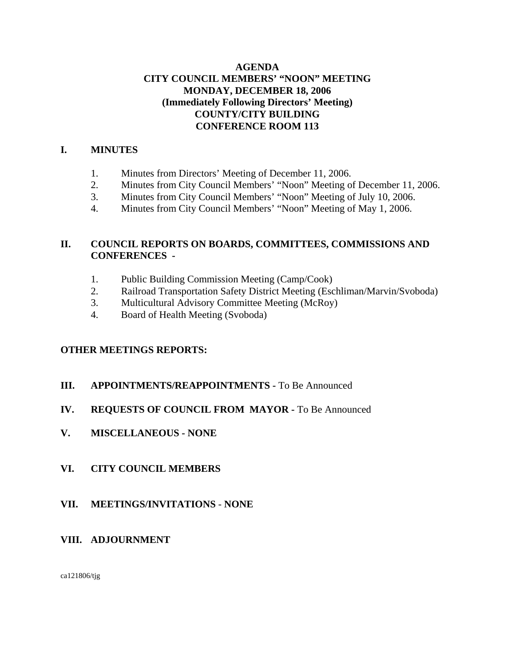# **AGENDA CITY COUNCIL MEMBERS' "NOON" MEETING MONDAY, DECEMBER 18, 2006 (Immediately Following Directors' Meeting) COUNTY/CITY BUILDING CONFERENCE ROOM 113**

# **I. MINUTES**

- 1. Minutes from Directors' Meeting of December 11, 2006.
- 2. Minutes from City Council Members' "Noon" Meeting of December 11, 2006.
- 3. Minutes from City Council Members' "Noon" Meeting of July 10, 2006.
- 4. Minutes from City Council Members' "Noon" Meeting of May 1, 2006.

# **II. COUNCIL REPORTS ON BOARDS, COMMITTEES, COMMISSIONS AND CONFERENCES -**

- 1. Public Building Commission Meeting (Camp/Cook)
- 2. Railroad Transportation Safety District Meeting (Eschliman/Marvin/Svoboda)
- 3. Multicultural Advisory Committee Meeting (McRoy)
- 4. Board of Health Meeting (Svoboda)

# **OTHER MEETINGS REPORTS:**

**III.** APPOINTMENTS/REAPPOINTMENTS - To Be Announced

# **IV. REQUESTS OF COUNCIL FROM MAYOR -** To Be Announced

**V. MISCELLANEOUS - NONE**

# **VI. CITY COUNCIL MEMBERS**

**VII. MEETINGS/INVITATIONS** - **NONE**

# **VIII. ADJOURNMENT**

ca121806/tjg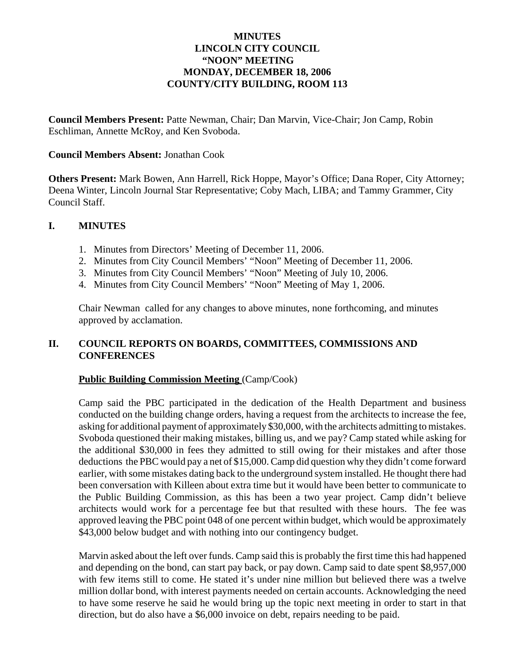## **MINUTES LINCOLN CITY COUNCIL "NOON" MEETING MONDAY, DECEMBER 18, 2006 COUNTY/CITY BUILDING, ROOM 113**

**Council Members Present:** Patte Newman, Chair; Dan Marvin, Vice-Chair; Jon Camp, Robin Eschliman, Annette McRoy, and Ken Svoboda.

### **Council Members Absent:** Jonathan Cook

**Others Present:** Mark Bowen, Ann Harrell, Rick Hoppe, Mayor's Office; Dana Roper, City Attorney; Deena Winter, Lincoln Journal Star Representative; Coby Mach, LIBA; and Tammy Grammer, City Council Staff.

### **I. MINUTES**

- 1. Minutes from Directors' Meeting of December 11, 2006.
- 2. Minutes from City Council Members' "Noon" Meeting of December 11, 2006.
- 3. Minutes from City Council Members' "Noon" Meeting of July 10, 2006.
- 4. Minutes from City Council Members' "Noon" Meeting of May 1, 2006.

Chair Newman called for any changes to above minutes, none forthcoming, and minutes approved by acclamation.

# **II. COUNCIL REPORTS ON BOARDS, COMMITTEES, COMMISSIONS AND CONFERENCES**

### **Public Building Commission Meeting** (Camp/Cook)

Camp said the PBC participated in the dedication of the Health Department and business conducted on the building change orders, having a request from the architects to increase the fee, asking for additional payment of approximately \$30,000, with the architects admitting to mistakes. Svoboda questioned their making mistakes, billing us, and we pay? Camp stated while asking for the additional \$30,000 in fees they admitted to still owing for their mistakes and after those deductions the PBC would pay a net of \$15,000. Camp did question why they didn't come forward earlier, with some mistakes dating back to the underground system installed. He thought there had been conversation with Killeen about extra time but it would have been better to communicate to the Public Building Commission, as this has been a two year project. Camp didn't believe architects would work for a percentage fee but that resulted with these hours. The fee was approved leaving the PBC point 048 of one percent within budget, which would be approximately \$43,000 below budget and with nothing into our contingency budget.

Marvin asked about the left over funds. Camp said this is probably the first time this had happened and depending on the bond, can start pay back, or pay down. Camp said to date spent \$8,957,000 with few items still to come. He stated it's under nine million but believed there was a twelve million dollar bond, with interest payments needed on certain accounts. Acknowledging the need to have some reserve he said he would bring up the topic next meeting in order to start in that direction, but do also have a \$6,000 invoice on debt, repairs needing to be paid.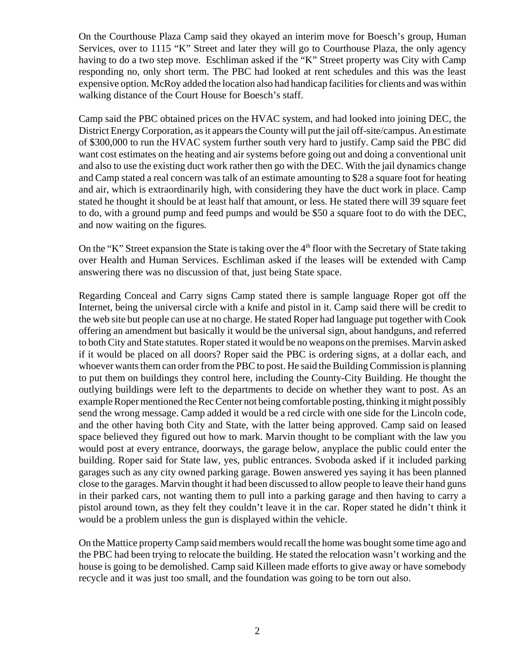On the Courthouse Plaza Camp said they okayed an interim move for Boesch's group, Human Services, over to 1115 "K" Street and later they will go to Courthouse Plaza, the only agency having to do a two step move. Eschliman asked if the "K" Street property was City with Camp responding no, only short term. The PBC had looked at rent schedules and this was the least expensive option. McRoy added the location also had handicap facilities for clients and was within walking distance of the Court House for Boesch's staff.

Camp said the PBC obtained prices on the HVAC system, and had looked into joining DEC, the District Energy Corporation, as it appears the County will put the jail off-site/campus. An estimate of \$300,000 to run the HVAC system further south very hard to justify. Camp said the PBC did want cost estimates on the heating and air systems before going out and doing a conventional unit and also to use the existing duct work rather then go with the DEC. With the jail dynamics change and Camp stated a real concern was talk of an estimate amounting to \$28 a square foot for heating and air, which is extraordinarily high, with considering they have the duct work in place. Camp stated he thought it should be at least half that amount, or less. He stated there will 39 square feet to do, with a ground pump and feed pumps and would be \$50 a square foot to do with the DEC, and now waiting on the figures.

On the "K" Street expansion the State is taking over the  $4<sup>th</sup>$  floor with the Secretary of State taking over Health and Human Services. Eschliman asked if the leases will be extended with Camp answering there was no discussion of that, just being State space.

Regarding Conceal and Carry signs Camp stated there is sample language Roper got off the Internet, being the universal circle with a knife and pistol in it. Camp said there will be credit to the web site but people can use at no charge. He stated Roper had language put together with Cook offering an amendment but basically it would be the universal sign, about handguns, and referred to both City and State statutes. Roper stated it would be no weapons on the premises. Marvin asked if it would be placed on all doors? Roper said the PBC is ordering signs, at a dollar each, and whoever wants them can order from the PBC to post. He said the Building Commission is planning to put them on buildings they control here, including the County-City Building. He thought the outlying buildings were left to the departments to decide on whether they want to post. As an example Roper mentioned the Rec Center not being comfortable posting, thinking it might possibly send the wrong message. Camp added it would be a red circle with one side for the Lincoln code, and the other having both City and State, with the latter being approved. Camp said on leased space believed they figured out how to mark. Marvin thought to be compliant with the law you would post at every entrance, doorways, the garage below, anyplace the public could enter the building. Roper said for State law, yes, public entrances. Svoboda asked if it included parking garages such as any city owned parking garage. Bowen answered yes saying it has been planned close to the garages. Marvin thought it had been discussed to allow people to leave their hand guns in their parked cars, not wanting them to pull into a parking garage and then having to carry a pistol around town, as they felt they couldn't leave it in the car. Roper stated he didn't think it would be a problem unless the gun is displayed within the vehicle.

On the Mattice property Camp said members would recall the home was bought some time ago and the PBC had been trying to relocate the building. He stated the relocation wasn't working and the house is going to be demolished. Camp said Killeen made efforts to give away or have somebody recycle and it was just too small, and the foundation was going to be torn out also.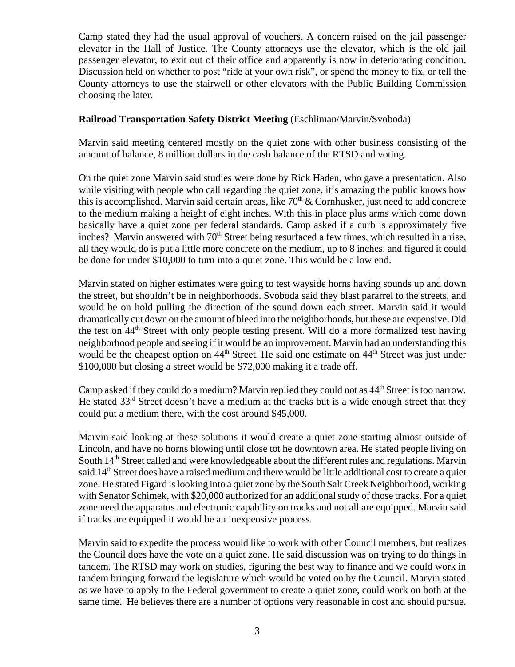Camp stated they had the usual approval of vouchers. A concern raised on the jail passenger elevator in the Hall of Justice. The County attorneys use the elevator, which is the old jail passenger elevator, to exit out of their office and apparently is now in deteriorating condition. Discussion held on whether to post "ride at your own risk", or spend the money to fix, or tell the County attorneys to use the stairwell or other elevators with the Public Building Commission choosing the later.

### **Railroad Transportation Safety District Meeting** (Eschliman/Marvin/Svoboda)

Marvin said meeting centered mostly on the quiet zone with other business consisting of the amount of balance, 8 million dollars in the cash balance of the RTSD and voting.

On the quiet zone Marvin said studies were done by Rick Haden, who gave a presentation. Also while visiting with people who call regarding the quiet zone, it's amazing the public knows how this is accomplished. Marvin said certain areas, like  $70<sup>th</sup>$  & Cornhusker, just need to add concrete to the medium making a height of eight inches. With this in place plus arms which come down basically have a quiet zone per federal standards. Camp asked if a curb is approximately five inches? Marvin answered with 70<sup>th</sup> Street being resurfaced a few times, which resulted in a rise, all they would do is put a little more concrete on the medium, up to 8 inches, and figured it could be done for under \$10,000 to turn into a quiet zone. This would be a low end.

Marvin stated on higher estimates were going to test wayside horns having sounds up and down the street, but shouldn't be in neighborhoods. Svoboda said they blast pararrel to the streets, and would be on hold pulling the direction of the sound down each street. Marvin said it would dramatically cut down on the amount of bleed into the neighborhoods, but these are expensive. Did the test on  $44<sup>th</sup>$  Street with only people testing present. Will do a more formalized test having neighborhood people and seeing if it would be an improvement. Marvin had an understanding this would be the cheapest option on  $44<sup>th</sup>$  Street. He said one estimate on  $44<sup>th</sup>$  Street was just under \$100,000 but closing a street would be \$72,000 making it a trade off.

Camp asked if they could do a medium? Marvin replied they could not as  $44<sup>th</sup>$  Street is too narrow. He stated  $33<sup>rd</sup>$  Street doesn't have a medium at the tracks but is a wide enough street that they could put a medium there, with the cost around \$45,000.

Marvin said looking at these solutions it would create a quiet zone starting almost outside of Lincoln, and have no horns blowing until close tot he downtown area. He stated people living on South 14<sup>th</sup> Street called and were knowledgeable about the different rules and regulations. Marvin said 14<sup>th</sup> Street does have a raised medium and there would be little additional cost to create a quiet zone. He stated Figard is looking into a quiet zone by the South Salt Creek Neighborhood, working with Senator Schimek, with \$20,000 authorized for an additional study of those tracks. For a quiet zone need the apparatus and electronic capability on tracks and not all are equipped. Marvin said if tracks are equipped it would be an inexpensive process.

Marvin said to expedite the process would like to work with other Council members, but realizes the Council does have the vote on a quiet zone. He said discussion was on trying to do things in tandem. The RTSD may work on studies, figuring the best way to finance and we could work in tandem bringing forward the legislature which would be voted on by the Council. Marvin stated as we have to apply to the Federal government to create a quiet zone, could work on both at the same time. He believes there are a number of options very reasonable in cost and should pursue.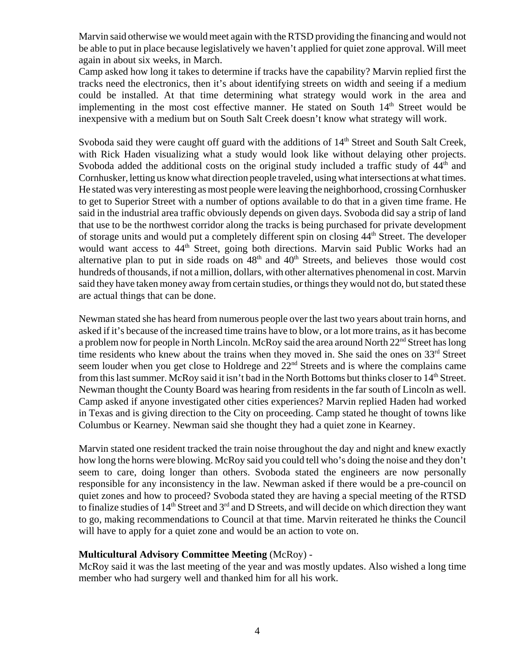Marvin said otherwise we would meet again with the RTSD providing the financing and would not be able to put in place because legislatively we haven't applied for quiet zone approval. Will meet again in about six weeks, in March.

Camp asked how long it takes to determine if tracks have the capability? Marvin replied first the tracks need the electronics, then it's about identifying streets on width and seeing if a medium could be installed. At that time determining what strategy would work in the area and implementing in the most cost effective manner. He stated on South  $14<sup>th</sup>$  Street would be inexpensive with a medium but on South Salt Creek doesn't know what strategy will work.

Svoboda said they were caught off guard with the additions of  $14<sup>th</sup>$  Street and South Salt Creek, with Rick Haden visualizing what a study would look like without delaying other projects. Svoboda added the additional costs on the original study included a traffic study of  $44<sup>th</sup>$  and Cornhusker, letting us know what direction people traveled, using what intersections at what times. He stated was very interesting as most people were leaving the neighborhood, crossing Cornhusker to get to Superior Street with a number of options available to do that in a given time frame. He said in the industrial area traffic obviously depends on given days. Svoboda did say a strip of land that use to be the northwest corridor along the tracks is being purchased for private development of storage units and would put a completely different spin on closing 44<sup>th</sup> Street. The developer would want access to 44<sup>th</sup> Street, going both directions. Marvin said Public Works had an alternative plan to put in side roads on  $48<sup>th</sup>$  and  $40<sup>th</sup>$  Streets, and believes those would cost hundreds of thousands, if not a million, dollars, with other alternatives phenomenal in cost. Marvin said they have taken money away from certain studies, or things they would not do, but stated these are actual things that can be done.

Newman stated she has heard from numerous people over the last two years about train horns, and asked if it's because of the increased time trains have to blow, or a lot more trains, as it has become a problem now for people in North Lincoln. McRoy said the area around North 22<sup>nd</sup> Street has long time residents who knew about the trains when they moved in. She said the ones on  $33<sup>rd</sup>$  Street seem louder when you get close to Holdrege and  $22<sup>nd</sup>$  Streets and is where the complains came from this last summer. McRoy said it isn't bad in the North Bottoms but thinks closer to 14<sup>th</sup> Street. Newman thought the County Board was hearing from residents in the far south of Lincoln as well. Camp asked if anyone investigated other cities experiences? Marvin replied Haden had worked in Texas and is giving direction to the City on proceeding. Camp stated he thought of towns like Columbus or Kearney. Newman said she thought they had a quiet zone in Kearney.

Marvin stated one resident tracked the train noise throughout the day and night and knew exactly how long the horns were blowing. McRoy said you could tell who's doing the noise and they don't seem to care, doing longer than others. Svoboda stated the engineers are now personally responsible for any inconsistency in the law. Newman asked if there would be a pre-council on quiet zones and how to proceed? Svoboda stated they are having a special meeting of the RTSD to finalize studies of  $14<sup>th</sup>$  Street and  $3<sup>rd</sup>$  and D Streets, and will decide on which direction they want to go, making recommendations to Council at that time. Marvin reiterated he thinks the Council will have to apply for a quiet zone and would be an action to vote on.

### **Multicultural Advisory Committee Meeting** (McRoy) -

McRoy said it was the last meeting of the year and was mostly updates. Also wished a long time member who had surgery well and thanked him for all his work.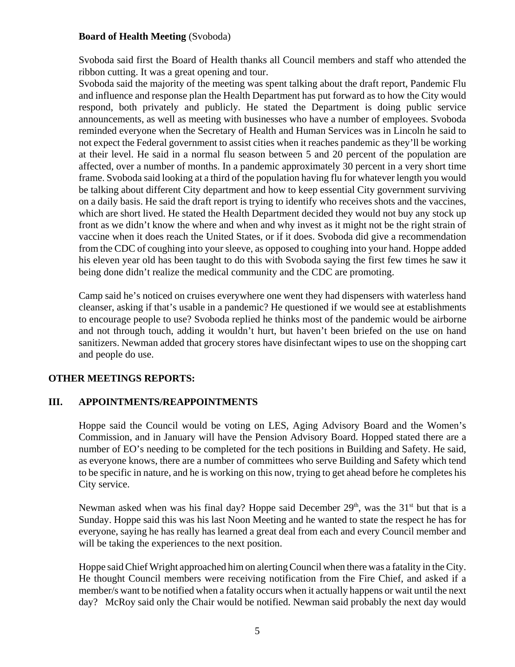### **Board of Health Meeting** (Svoboda)

Svoboda said first the Board of Health thanks all Council members and staff who attended the ribbon cutting. It was a great opening and tour.

Svoboda said the majority of the meeting was spent talking about the draft report, Pandemic Flu and influence and response plan the Health Department has put forward as to how the City would respond, both privately and publicly. He stated the Department is doing public service announcements, as well as meeting with businesses who have a number of employees. Svoboda reminded everyone when the Secretary of Health and Human Services was in Lincoln he said to not expect the Federal government to assist cities when it reaches pandemic as they'll be working at their level. He said in a normal flu season between 5 and 20 percent of the population are affected, over a number of months. In a pandemic approximately 30 percent in a very short time frame. Svoboda said looking at a third of the population having flu for whatever length you would be talking about different City department and how to keep essential City government surviving on a daily basis. He said the draft report is trying to identify who receives shots and the vaccines, which are short lived. He stated the Health Department decided they would not buy any stock up front as we didn't know the where and when and why invest as it might not be the right strain of vaccine when it does reach the United States, or if it does. Svoboda did give a recommendation from the CDC of coughing into your sleeve, as opposed to coughing into your hand. Hoppe added his eleven year old has been taught to do this with Svoboda saying the first few times he saw it being done didn't realize the medical community and the CDC are promoting.

Camp said he's noticed on cruises everywhere one went they had dispensers with waterless hand cleanser, asking if that's usable in a pandemic? He questioned if we would see at establishments to encourage people to use? Svoboda replied he thinks most of the pandemic would be airborne and not through touch, adding it wouldn't hurt, but haven't been briefed on the use on hand sanitizers. Newman added that grocery stores have disinfectant wipes to use on the shopping cart and people do use.

# **OTHER MEETINGS REPORTS:**

# **III. APPOINTMENTS/REAPPOINTMENTS**

Hoppe said the Council would be voting on LES, Aging Advisory Board and the Women's Commission, and in January will have the Pension Advisory Board. Hopped stated there are a number of EO's needing to be completed for the tech positions in Building and Safety. He said, as everyone knows, there are a number of committees who serve Building and Safety which tend to be specific in nature, and he is working on this now, trying to get ahead before he completes his City service.

Newman asked when was his final day? Hoppe said December  $29<sup>th</sup>$ , was the 31<sup>st</sup> but that is a Sunday. Hoppe said this was his last Noon Meeting and he wanted to state the respect he has for everyone, saying he has really has learned a great deal from each and every Council member and will be taking the experiences to the next position.

Hoppe said Chief Wright approached him on alerting Council when there was a fatality in the City. He thought Council members were receiving notification from the Fire Chief, and asked if a member/s want to be notified when a fatality occurs when it actually happens or wait until the next day? McRoy said only the Chair would be notified. Newman said probably the next day would